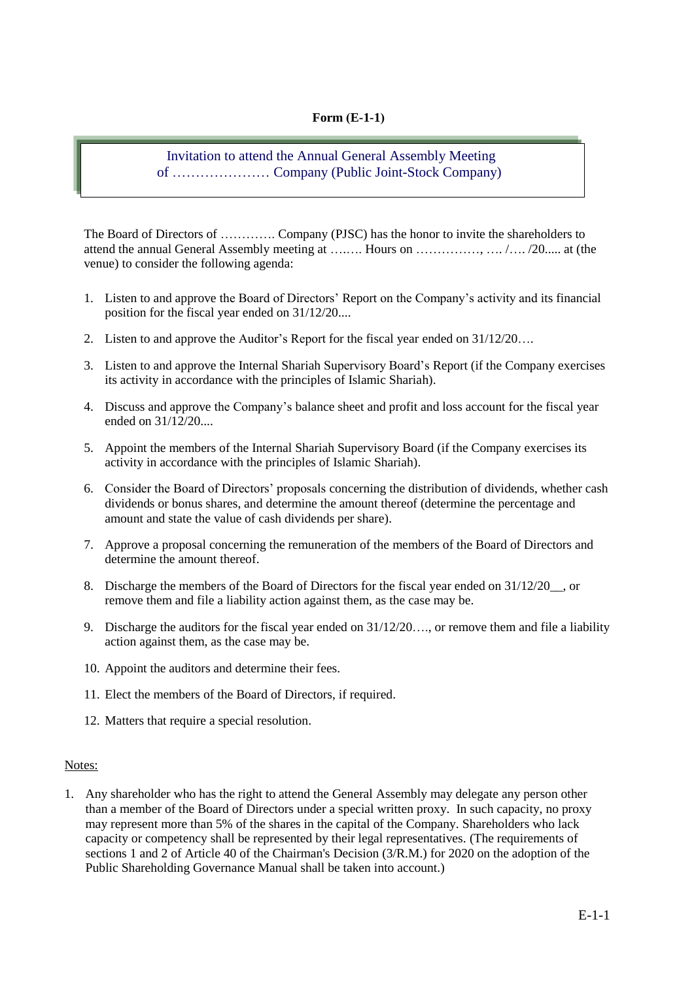## **Form** (**E-1-1**)

## Invitation to attend the Annual General Assembly Meeting of ………………… Company (Public Joint-Stock Company)

The Board of Directors of …………. Company (PJSC) has the honor to invite the shareholders to attend the annual General Assembly meeting at ….…. Hours on ……………, …. /…. /20..... at (the venue) to consider the following agenda:

- 1. Listen to and approve the Board of Directors' Report on the Company's activity and its financial position for the fiscal year ended on 31/12/20....
- 2. Listen to and approve the Auditor's Report for the fiscal year ended on 31/12/20….
- 3. Listen to and approve the Internal Shariah Supervisory Board's Report (if the Company exercises its activity in accordance with the principles of Islamic Shariah).
- 4. Discuss and approve the Company's balance sheet and profit and loss account for the fiscal year ended on 31/12/20....
- 5. Appoint the members of the Internal Shariah Supervisory Board (if the Company exercises its activity in accordance with the principles of Islamic Shariah).
- 6. Consider the Board of Directors' proposals concerning the distribution of dividends, whether cash dividends or bonus shares, and determine the amount thereof (determine the percentage and amount and state the value of cash dividends per share).
- 7. Approve a proposal concerning the remuneration of the members of the Board of Directors and determine the amount thereof.
- 8. Discharge the members of the Board of Directors for the fiscal year ended on  $31/12/20$ , or remove them and file a liability action against them, as the case may be.
- 9. Discharge the auditors for the fiscal year ended on 31/12/20…., or remove them and file a liability action against them, as the case may be.
- 10. Appoint the auditors and determine their fees.
- 11. Elect the members of the Board of Directors, if required.
- 12. Matters that require a special resolution.

## Notes:

1. Any shareholder who has the right to attend the General Assembly may delegate any person other than a member of the Board of Directors under a special written proxy. In such capacity, no proxy may represent more than 5% of the shares in the capital of the Company. Shareholders who lack capacity or competency shall be represented by their legal representatives. (The requirements of sections 1 and 2 of Article 40 of the Chairman's Decision (3/R.M.) for 2020 on the adoption of the Public Shareholding Governance Manual shall be taken into account.)